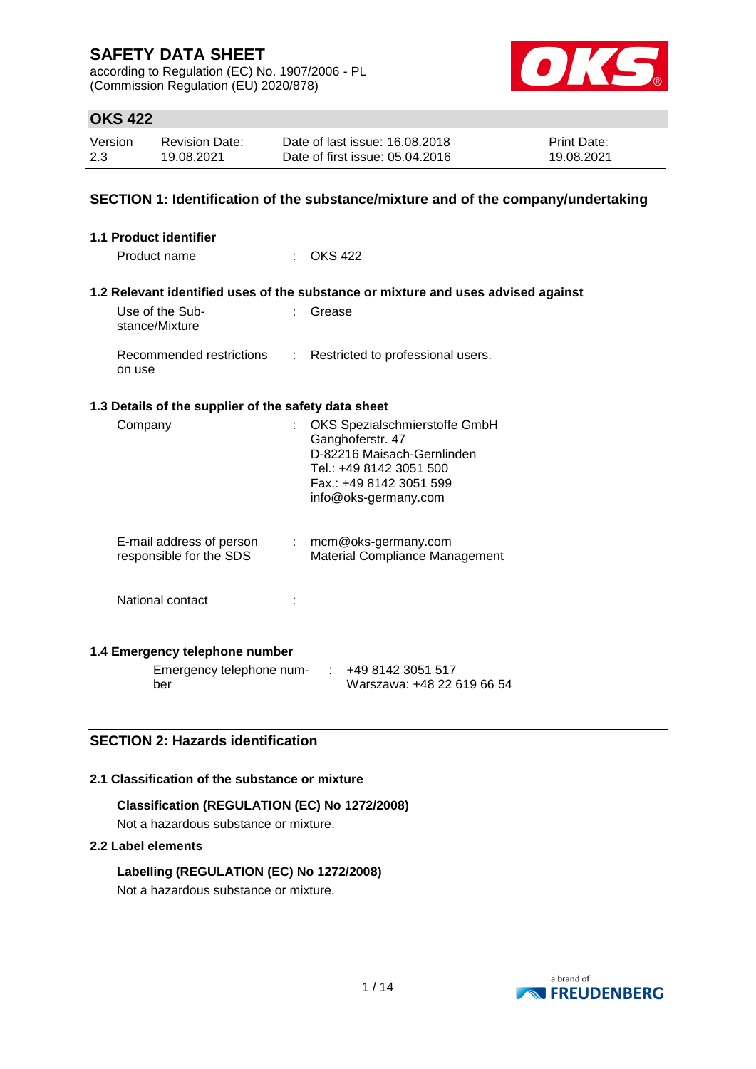according to Regulation (EC) No. 1907/2006 - PL (Commission Regulation (EU) 2020/878)



# **OKS 422**

| Version | <b>Revision Date:</b> | Date of last issue: 16,08,2018  | <b>Print Date:</b> |
|---------|-----------------------|---------------------------------|--------------------|
| 2.3     | 19.08.2021            | Date of first issue: 05.04.2016 | 19.08.2021         |

## **SECTION 1: Identification of the substance/mixture and of the company/undertaking**

| 1.1 Product identifier                               |                                                                                                                                                               |
|------------------------------------------------------|---------------------------------------------------------------------------------------------------------------------------------------------------------------|
| Product name                                         | $\therefore$ OKS 422                                                                                                                                          |
|                                                      |                                                                                                                                                               |
|                                                      | 1.2 Relevant identified uses of the substance or mixture and uses advised against                                                                             |
| Use of the Sub-<br>stance/Mixture                    | Grease                                                                                                                                                        |
| Recommended restrictions<br>on use                   | : Restricted to professional users.                                                                                                                           |
| 1.3 Details of the supplier of the safety data sheet |                                                                                                                                                               |
| Company                                              | OKS Spezialschmierstoffe GmbH<br>Ganghoferstr. 47<br>D-82216 Maisach-Gernlinden<br>Tel.: +49 8142 3051 500<br>Fax.: +49 8142 3051 599<br>info@oks-germany.com |
| E-mail address of person<br>responsible for the SDS  | : mcm@oks-germany.com<br>Material Compliance Management                                                                                                       |
| National contact                                     |                                                                                                                                                               |
| 1.4 Emergency telephone number                       |                                                                                                                                                               |
| Emergency telephone num-                             | $\div$ +49 8142 3051 517                                                                                                                                      |

## **SECTION 2: Hazards identification**

#### **2.1 Classification of the substance or mixture**

**Classification (REGULATION (EC) No 1272/2008)** Not a hazardous substance or mixture.

#### **2.2 Label elements**

ber

**Labelling (REGULATION (EC) No 1272/2008)** Not a hazardous substance or mixture.



Warszawa: +48 22 619 66 54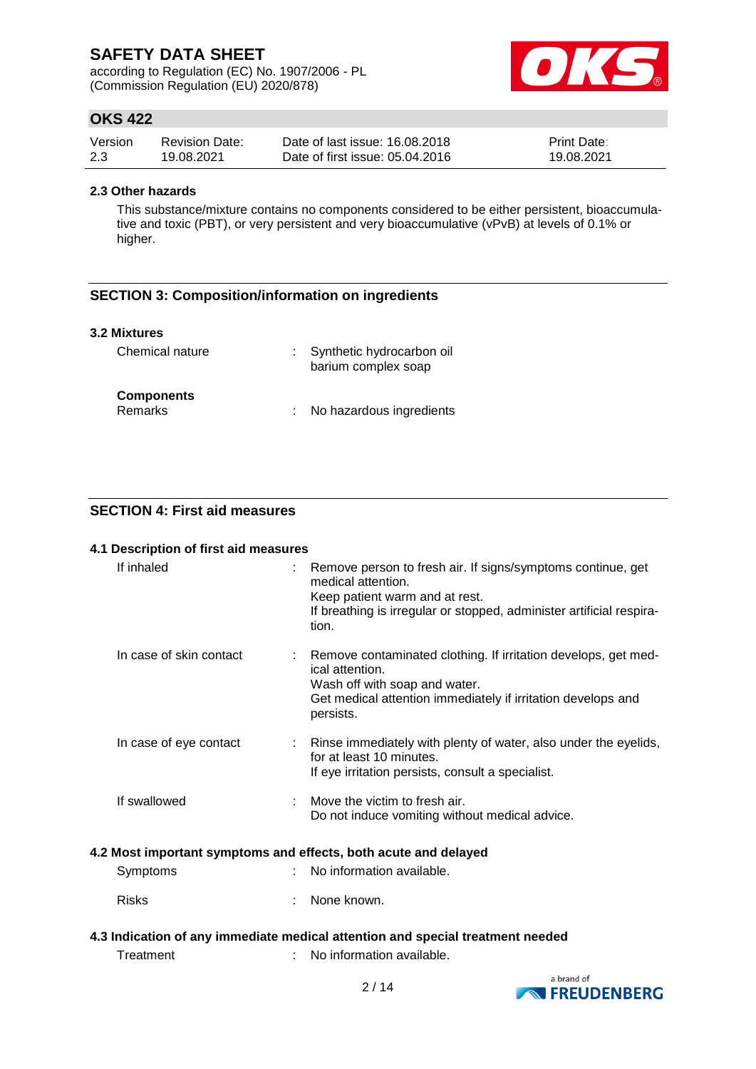according to Regulation (EC) No. 1907/2006 - PL (Commission Regulation (EU) 2020/878)



# **OKS 422**

| Version | <b>Revision Date:</b> | Date of last issue: 16.08.2018  | <b>Print Date:</b> |
|---------|-----------------------|---------------------------------|--------------------|
| 2.3     | 19.08.2021            | Date of first issue: 05.04.2016 | 19.08.2021         |

#### **2.3 Other hazards**

This substance/mixture contains no components considered to be either persistent, bioaccumulative and toxic (PBT), or very persistent and very bioaccumulative (vPvB) at levels of 0.1% or higher.

## **SECTION 3: Composition/information on ingredients**

### **3.2 Mixtures**

| Chemical nature                     | Synthetic hydrocarbon oil<br>barium complex soap |
|-------------------------------------|--------------------------------------------------|
| <b>Components</b><br><b>Remarks</b> | No hazardous ingredients                         |

## **SECTION 4: First aid measures**

## **4.1 Description of first aid measures**

| If inhaled              | Remove person to fresh air. If signs/symptoms continue, get<br>medical attention.<br>Keep patient warm and at rest.<br>If breathing is irregular or stopped, administer artificial respira-<br>tion. |
|-------------------------|------------------------------------------------------------------------------------------------------------------------------------------------------------------------------------------------------|
| In case of skin contact | Remove contaminated clothing. If irritation develops, get med-<br>ical attention.<br>Wash off with soap and water.<br>Get medical attention immediately if irritation develops and<br>persists.      |
| In case of eye contact  | Rinse immediately with plenty of water, also under the eyelids,<br>for at least 10 minutes.<br>If eye irritation persists, consult a specialist.                                                     |
| If swallowed            | Move the victim to fresh air.<br>Do not induce vomiting without medical advice.                                                                                                                      |
|                         | 4.2 Most important symptoms and effects, both acute and delayed                                                                                                                                      |
| Symptoms                | No information available.                                                                                                                                                                            |
| <b>Risks</b>            | None known.                                                                                                                                                                                          |

## **4.3 Indication of any immediate medical attention and special treatment needed** Treatment : No information available.

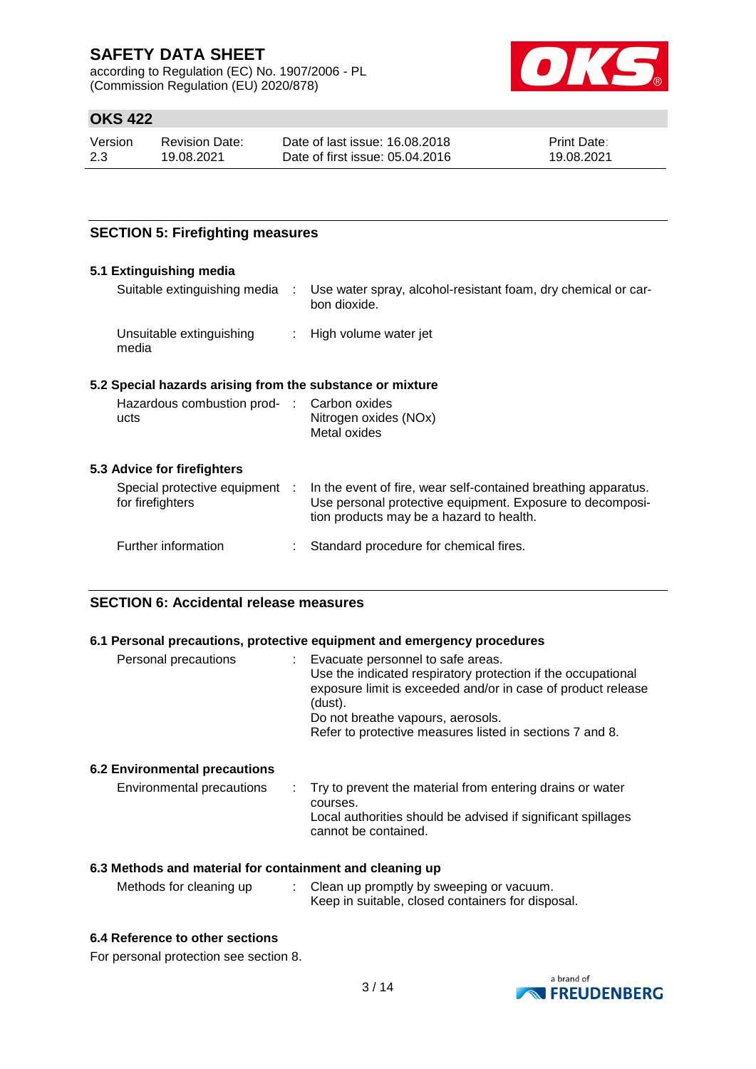according to Regulation (EC) No. 1907/2006 - PL (Commission Regulation (EU) 2020/878)



# **OKS 422**

| Version | <b>Revision Date:</b> | Date of last issue: 16,08,2018  | <b>Print Date:</b> |
|---------|-----------------------|---------------------------------|--------------------|
| 2.3     | 19.08.2021            | Date of first issue: 05.04.2016 | 19.08.2021         |

## **SECTION 5: Firefighting measures**

#### **5.1 Extinguishing media**

| Suitable extinguishing media      | Use water spray, alcohol-resistant foam, dry chemical or car-<br>bon dioxide. |
|-----------------------------------|-------------------------------------------------------------------------------|
| Unsuitable extinguishing<br>media | : High volume water jet                                                       |

### **5.2 Special hazards arising from the substance or mixture**

| Hazardous combustion prod- : Carbon oxides |                       |
|--------------------------------------------|-----------------------|
| ucts                                       | Nitrogen oxides (NOx) |
|                                            | Metal oxides          |

## **5.3 Advice for firefighters**

| Special protective equipment :<br>for firefighters | In the event of fire, wear self-contained breathing apparatus.<br>Use personal protective equipment. Exposure to decomposi-<br>tion products may be a hazard to health. |
|----------------------------------------------------|-------------------------------------------------------------------------------------------------------------------------------------------------------------------------|
| Further information                                | Standard procedure for chemical fires.                                                                                                                                  |

### **SECTION 6: Accidental release measures**

### **6.1 Personal precautions, protective equipment and emergency procedures**

| Personal precautions                 | : Evacuate personnel to safe areas.<br>Use the indicated respiratory protection if the occupational<br>exposure limit is exceeded and/or in case of product release<br>(dust).<br>Do not breathe vapours, aerosols.<br>Refer to protective measures listed in sections 7 and 8. |
|--------------------------------------|---------------------------------------------------------------------------------------------------------------------------------------------------------------------------------------------------------------------------------------------------------------------------------|
| <b>6.2 Environmental precautions</b> |                                                                                                                                                                                                                                                                                 |
| Environmental precautions            | Try to prevent the material from entering drains or water<br>courses.<br>Local authorities should be advised if significant spillages<br>cannot be contained.                                                                                                                   |

#### **6.3 Methods and material for containment and cleaning up**

| Methods for cleaning up | Clean up promptly by sweeping or vacuum.          |
|-------------------------|---------------------------------------------------|
|                         | Keep in suitable, closed containers for disposal. |

### **6.4 Reference to other sections**

For personal protection see section 8.

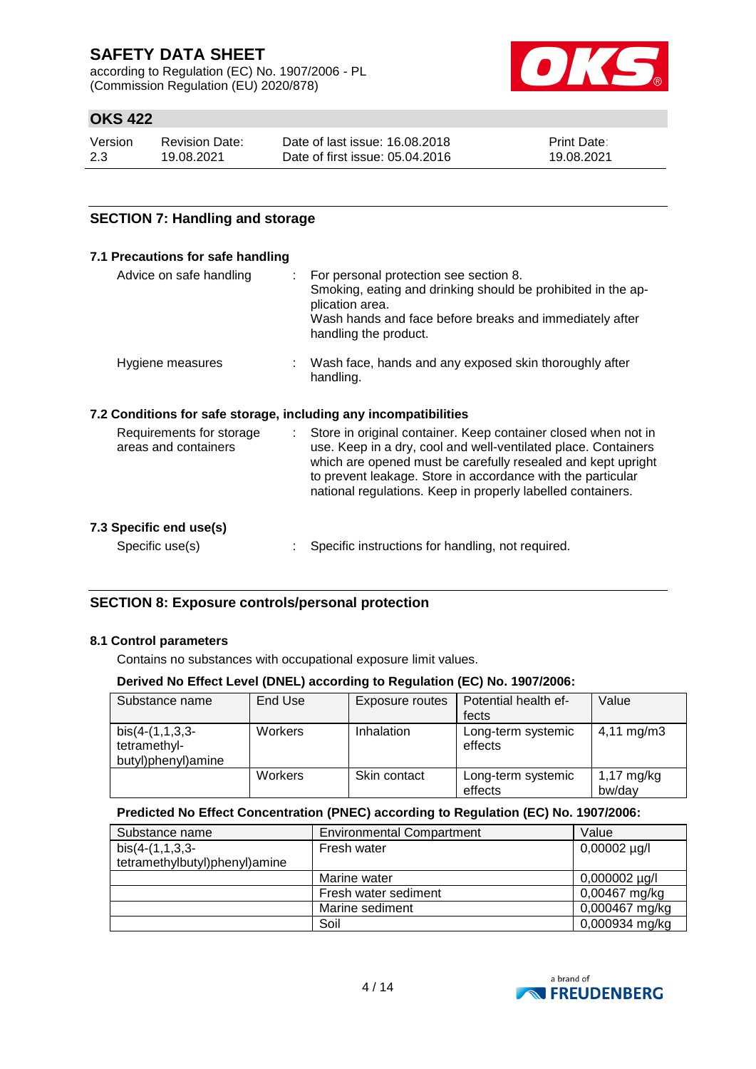according to Regulation (EC) No. 1907/2006 - PL (Commission Regulation (EU) 2020/878)



# **OKS 422**

| Version | <b>Revision Date:</b> | Date of last issue: 16.08.2018  | <b>Print Date:</b> |
|---------|-----------------------|---------------------------------|--------------------|
| 2.3     | 19.08.2021            | Date of first issue: 05.04.2016 | 19.08.2021         |

## **SECTION 7: Handling and storage**

### **7.1 Precautions for safe handling**

| Advice on safe handling                                          | For personal protection see section 8.<br>Smoking, eating and drinking should be prohibited in the ap-<br>plication area.<br>Wash hands and face before breaks and immediately after<br>handling the product.                                                                                                                        |
|------------------------------------------------------------------|--------------------------------------------------------------------------------------------------------------------------------------------------------------------------------------------------------------------------------------------------------------------------------------------------------------------------------------|
| Hygiene measures                                                 | Wash face, hands and any exposed skin thoroughly after<br>handling.                                                                                                                                                                                                                                                                  |
| 7.2 Conditions for safe storage, including any incompatibilities |                                                                                                                                                                                                                                                                                                                                      |
| Requirements for storage<br>areas and containers                 | Store in original container. Keep container closed when not in<br>÷.<br>use. Keep in a dry, cool and well-ventilated place. Containers<br>which are opened must be carefully resealed and kept upright<br>to prevent leakage. Store in accordance with the particular<br>national regulations. Keep in properly labelled containers. |
| 7.3 Specific end use(s)                                          |                                                                                                                                                                                                                                                                                                                                      |
| Specific use(s)                                                  | Specific instructions for handling, not required.                                                                                                                                                                                                                                                                                    |

### **SECTION 8: Exposure controls/personal protection**

#### **8.1 Control parameters**

Contains no substances with occupational exposure limit values.

#### **Derived No Effect Level (DNEL) according to Regulation (EC) No. 1907/2006:**

| Substance name                                          | End Use        | Exposure routes | Potential health ef-<br>fects | Value                          |
|---------------------------------------------------------|----------------|-----------------|-------------------------------|--------------------------------|
| $bis(4-(1,1,3,3-$<br>tetramethyl-<br>butyl)phenyl)amine | Workers        | Inhalation      | Long-term systemic<br>effects | $4,11 \, \text{mg/m3}$         |
|                                                         | <b>Workers</b> | Skin contact    | Long-term systemic<br>effects | $1,17 \text{ mg/kg}$<br>bw/day |

### **Predicted No Effect Concentration (PNEC) according to Regulation (EC) No. 1907/2006:**

| Substance name                | <b>Environmental Compartment</b> | Value              |
|-------------------------------|----------------------------------|--------------------|
| $bis(4-(1,1,3,3-$             | Fresh water                      | $0,00002 \mu g/l$  |
| tetramethylbutyl)phenyl)amine |                                  |                    |
|                               | Marine water                     | $0,000002 \mu g/l$ |
|                               | Fresh water sediment             | $0,00467$ mg/kg    |
|                               | Marine sediment                  | 0,000467 mg/kg     |
|                               | Soil                             | 0,000934 mg/kg     |

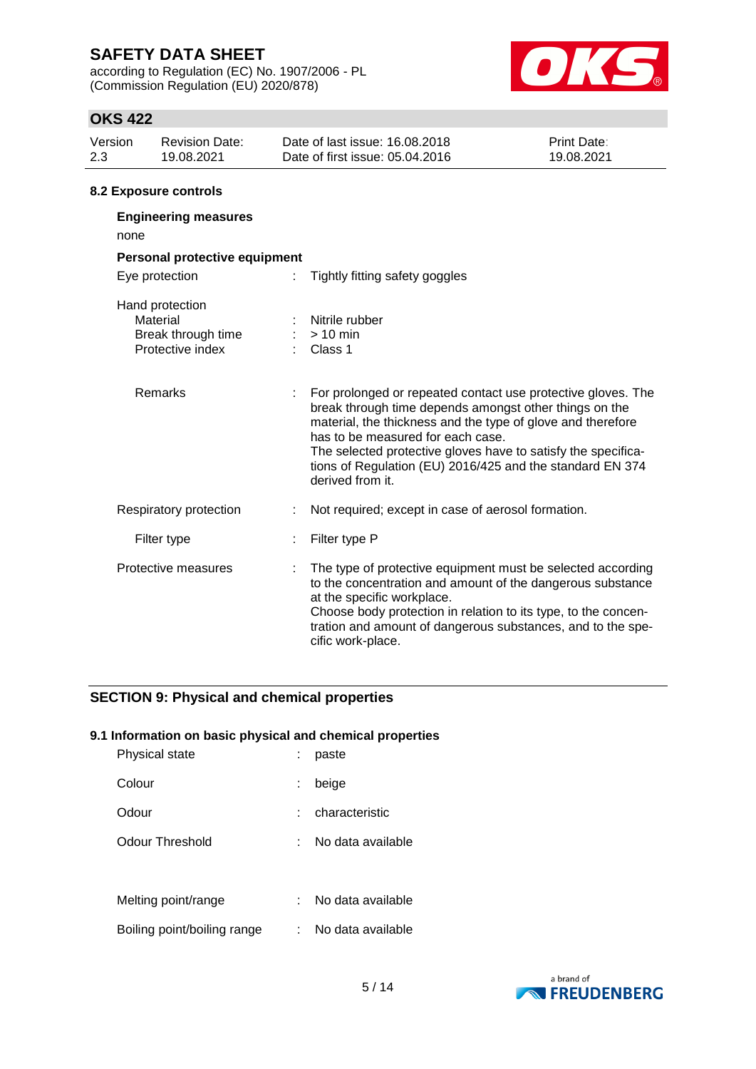according to Regulation (EC) No. 1907/2006 - PL (Commission Regulation (EU) 2020/878)



# **OKS 422**

| Version<br>2.3 | <b>Revision Date:</b><br>19.08.2021                                   | Date of last issue: 16.08.2018<br>Date of first issue: 05.04.2016 |                                        | Print Date:<br>19.08.2021 |
|----------------|-----------------------------------------------------------------------|-------------------------------------------------------------------|----------------------------------------|---------------------------|
|                | 8.2 Exposure controls                                                 |                                                                   |                                        |                           |
| none           | <b>Engineering measures</b>                                           |                                                                   |                                        |                           |
|                | Personal protective equipment                                         |                                                                   |                                        |                           |
|                | Eye protection                                                        |                                                                   | Tightly fitting safety goggles         |                           |
|                | Hand protection<br>Material<br>Break through time<br>Protective index |                                                                   | Nitrile rubber<br>$>10$ min<br>Class 1 |                           |

| Remarks                |  | For prolonged or repeated contact use protective gloves. The<br>break through time depends amongst other things on the<br>material, the thickness and the type of glove and therefore<br>has to be measured for each case.<br>The selected protective gloves have to satisfy the specifica-<br>tions of Regulation (EU) 2016/425 and the standard EN 374<br>derived from it. |  |  |
|------------------------|--|------------------------------------------------------------------------------------------------------------------------------------------------------------------------------------------------------------------------------------------------------------------------------------------------------------------------------------------------------------------------------|--|--|
| Respiratory protection |  | Not required; except in case of aerosol formation.                                                                                                                                                                                                                                                                                                                           |  |  |
| Filter type            |  | Filter type P                                                                                                                                                                                                                                                                                                                                                                |  |  |
| Protective measures    |  | The type of protective equipment must be selected according<br>to the concentration and amount of the dangerous substance<br>at the specific workplace.                                                                                                                                                                                                                      |  |  |

cific work-place.

Choose body protection in relation to its type, to the concentration and amount of dangerous substances, and to the spe-

## **SECTION 9: Physical and chemical properties**

#### **9.1 Information on basic physical and chemical properties**

| Physical state              | paste             |
|-----------------------------|-------------------|
| Colour                      | beige             |
| Odour                       | characteristic    |
| Odour Threshold             | No data available |
|                             |                   |
| Melting point/range         | No data available |
| Boiling point/boiling range | No data available |

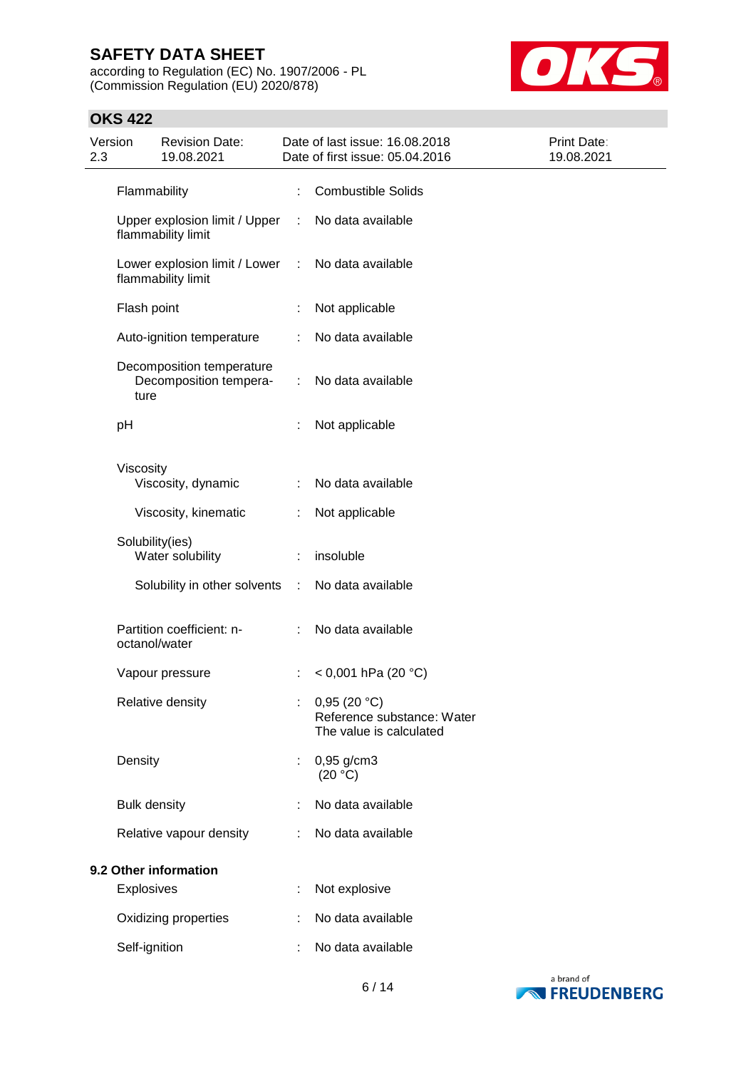according to Regulation (EC) No. 1907/2006 - PL (Commission Regulation (EU) 2020/878)



## **OKS 422**

| Version<br>2.3 |                     | <b>Revision Date:</b><br>19.08.2021                 |    | Date of last issue: 16.08.2018<br>Date of first issue: 05.04.2016    | Print Date:<br>19.08.2021 |
|----------------|---------------------|-----------------------------------------------------|----|----------------------------------------------------------------------|---------------------------|
|                | Flammability        |                                                     | ÷. | <b>Combustible Solids</b>                                            |                           |
|                |                     | Upper explosion limit / Upper<br>flammability limit | ÷  | No data available                                                    |                           |
|                |                     | Lower explosion limit / Lower<br>flammability limit | ÷  | No data available                                                    |                           |
|                | Flash point         |                                                     |    | Not applicable                                                       |                           |
|                |                     | Auto-ignition temperature                           |    | No data available                                                    |                           |
|                | ture                | Decomposition temperature<br>Decomposition tempera- | ÷  | No data available                                                    |                           |
|                | pH                  |                                                     |    | Not applicable                                                       |                           |
|                | Viscosity           | Viscosity, dynamic                                  |    | No data available                                                    |                           |
|                |                     | Viscosity, kinematic                                | t  | Not applicable                                                       |                           |
|                | Solubility(ies)     | Water solubility                                    |    | insoluble                                                            |                           |
|                |                     | Solubility in other solvents                        | ÷  | No data available                                                    |                           |
|                | octanol/water       | Partition coefficient: n-                           |    | No data available                                                    |                           |
|                |                     | Vapour pressure                                     |    | < 0,001 hPa (20 $^{\circ}$ C)                                        |                           |
|                |                     | Relative density                                    |    | 0,95(20 °C)<br>Reference substance: Water<br>The value is calculated |                           |
|                | Density             |                                                     | t  | 0,95 g/cm3<br>(20 °C)                                                |                           |
|                | <b>Bulk density</b> |                                                     |    | No data available                                                    |                           |
|                |                     | Relative vapour density                             |    | No data available                                                    |                           |
|                |                     | 9.2 Other information                               |    |                                                                      |                           |
|                | <b>Explosives</b>   |                                                     |    | Not explosive                                                        |                           |
|                |                     | Oxidizing properties                                |    | No data available                                                    |                           |
|                | Self-ignition       |                                                     |    | No data available                                                    |                           |

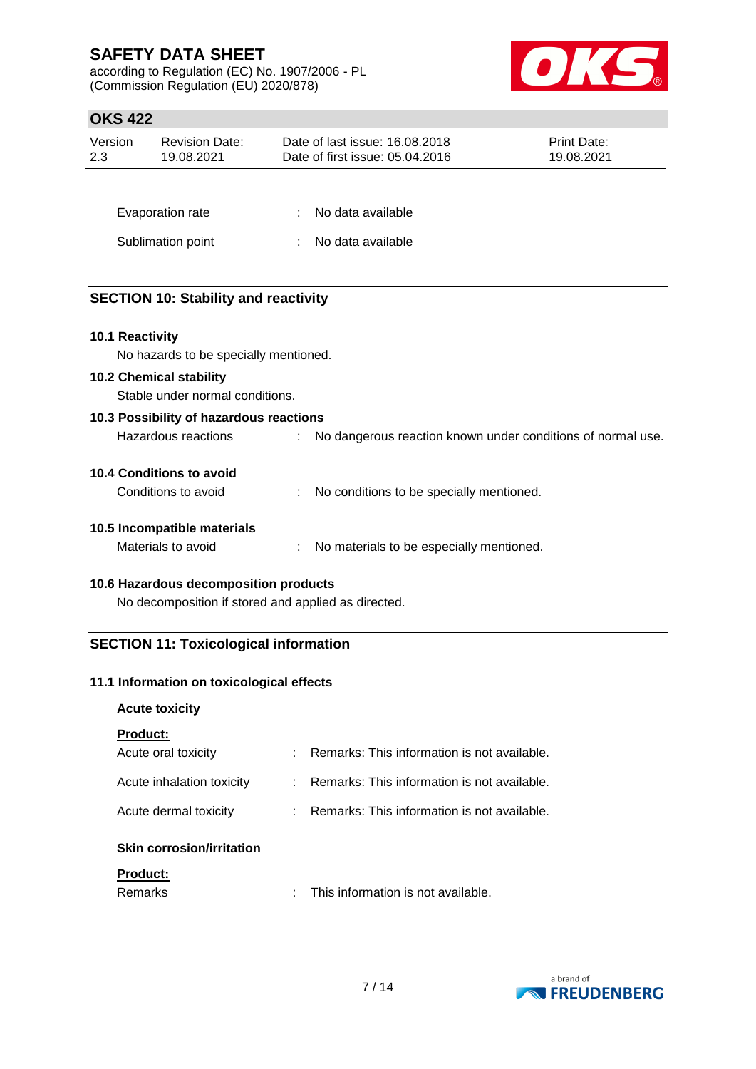according to Regulation (EC) No. 1907/2006 - PL (Commission Regulation (EU) 2020/878)



# **OKS 422**

| Version<br>2.3  | <b>Revision Date:</b><br>19.08.2021         | Date of last issue: 16.08.2018<br>Date of first issue: 05.04.2016 | <b>Print Date:</b><br>19.08.2021 |
|-----------------|---------------------------------------------|-------------------------------------------------------------------|----------------------------------|
|                 |                                             |                                                                   |                                  |
|                 | Evaporation rate                            | No data available                                                 |                                  |
|                 | Sublimation point                           | No data available                                                 |                                  |
|                 |                                             |                                                                   |                                  |
|                 | <b>SECTION 10: Stability and reactivity</b> |                                                                   |                                  |
| 10.1 Reactivity |                                             |                                                                   |                                  |
|                 | No hazards to be specially mentioned.       |                                                                   |                                  |
|                 | <b>10.2 Chemical stability</b>              |                                                                   |                                  |
|                 | Stable under normal conditions.             |                                                                   |                                  |
|                 | 10.3 Possibility of hazardous reactions     |                                                                   |                                  |
|                 | Hazardous reactions                         | No dangerous reaction known under conditions of normal use.       |                                  |
|                 | <b>10.4 Conditions to avoid</b>             |                                                                   |                                  |
|                 | Conditions to avoid                         | No conditions to be specially mentioned.                          |                                  |

| 10.5 Incompatible materials |  |
|-----------------------------|--|

| Materials to avoid |  | No materials to be especially mentioned. |
|--------------------|--|------------------------------------------|
|--------------------|--|------------------------------------------|

### **10.6 Hazardous decomposition products**

No decomposition if stored and applied as directed.

# **SECTION 11: Toxicological information**

### **11.1 Information on toxicological effects**

# **Acute toxicity**

# **Product:**

| <b>Product:</b>                  |                                             |
|----------------------------------|---------------------------------------------|
| <b>Skin corrosion/irritation</b> |                                             |
| Acute dermal toxicity            | Remarks: This information is not available. |
| Acute inhalation toxicity        | Remarks: This information is not available. |
| Acute oral toxicity              | Remarks: This information is not available. |



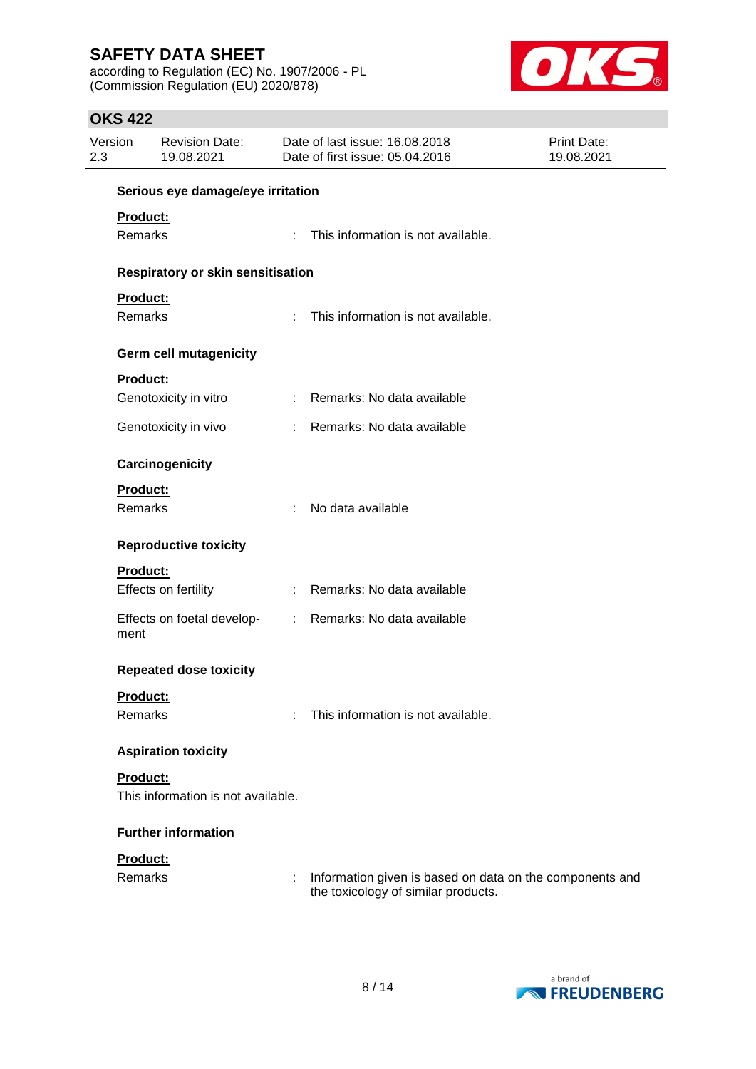according to Regulation (EC) No. 1907/2006 - PL (Commission Regulation (EU) 2020/878)



## **OKS 422**

| Version<br>2.3  | <b>Revision Date:</b><br>19.08.2021      |    | Date of last issue: 16.08.2018<br>Date of first issue: 05.04.2016                               | <b>Print Date:</b><br>19.08.2021 |
|-----------------|------------------------------------------|----|-------------------------------------------------------------------------------------------------|----------------------------------|
|                 | Serious eye damage/eye irritation        |    |                                                                                                 |                                  |
| Product:        |                                          |    |                                                                                                 |                                  |
| Remarks         |                                          |    | This information is not available.                                                              |                                  |
|                 | <b>Respiratory or skin sensitisation</b> |    |                                                                                                 |                                  |
| Product:        |                                          |    |                                                                                                 |                                  |
| Remarks         |                                          | t. | This information is not available.                                                              |                                  |
|                 | <b>Germ cell mutagenicity</b>            |    |                                                                                                 |                                  |
| Product:        |                                          |    |                                                                                                 |                                  |
|                 | Genotoxicity in vitro                    |    | : Remarks: No data available                                                                    |                                  |
|                 | Genotoxicity in vivo                     |    | : Remarks: No data available                                                                    |                                  |
|                 | Carcinogenicity                          |    |                                                                                                 |                                  |
| <b>Product:</b> |                                          |    |                                                                                                 |                                  |
| Remarks         |                                          | ÷. | No data available                                                                               |                                  |
|                 | <b>Reproductive toxicity</b>             |    |                                                                                                 |                                  |
| Product:        |                                          |    |                                                                                                 |                                  |
|                 | Effects on fertility                     | ÷. | Remarks: No data available                                                                      |                                  |
| ment            | Effects on foetal develop-               |    | : Remarks: No data available                                                                    |                                  |
|                 | <b>Repeated dose toxicity</b>            |    |                                                                                                 |                                  |
| <b>Product:</b> |                                          |    |                                                                                                 |                                  |
| Remarks         |                                          |    | This information is not available.                                                              |                                  |
|                 | <b>Aspiration toxicity</b>               |    |                                                                                                 |                                  |
| Product:        |                                          |    |                                                                                                 |                                  |
|                 | This information is not available.       |    |                                                                                                 |                                  |
|                 | <b>Further information</b>               |    |                                                                                                 |                                  |
| Product:        |                                          |    |                                                                                                 |                                  |
| Remarks         |                                          |    | Information given is based on data on the components and<br>the toxicology of similar products. |                                  |

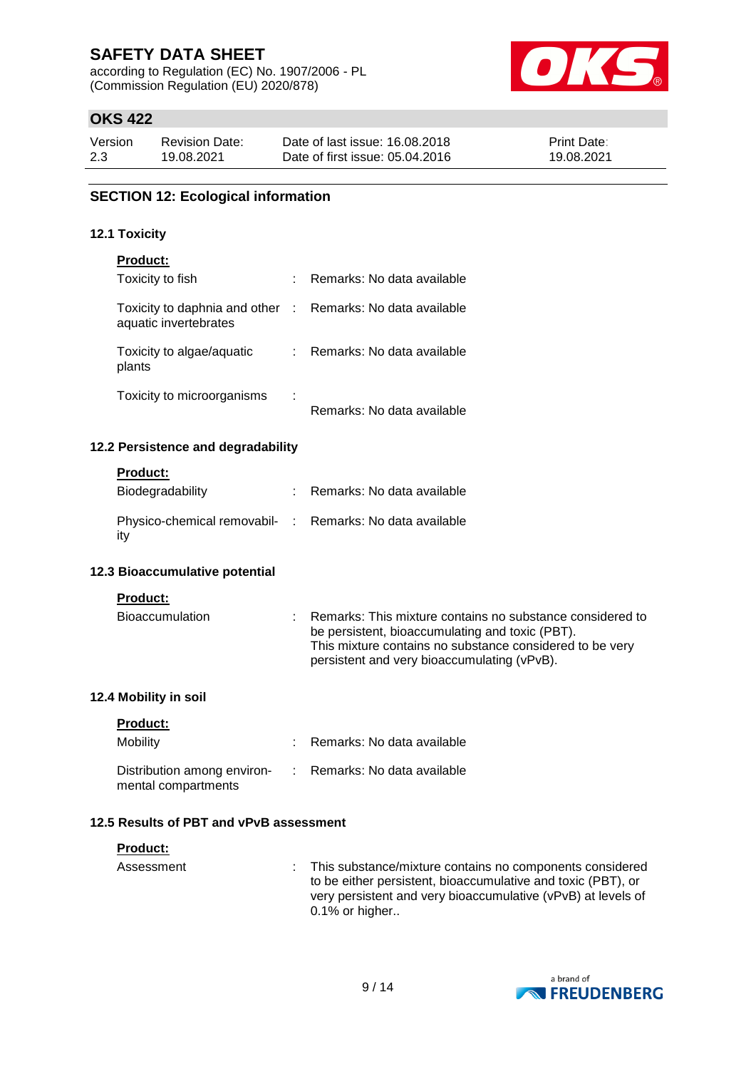according to Regulation (EC) No. 1907/2006 - PL (Commission Regulation (EU) 2020/878)



# **OKS 422**

| Version | <b>Revision Date:</b> | Date of last issue: 16.08.2018  | <b>Print Date:</b> |
|---------|-----------------------|---------------------------------|--------------------|
| 2.3     | 19.08.2021            | Date of first issue: 05.04.2016 | 19.08.2021         |

### **SECTION 12: Ecological information**

### **12.1 Toxicity**

| <b>Product:</b>       |                                    |                            |
|-----------------------|------------------------------------|----------------------------|
| Toxicity to fish      |                                    | Remarks: No data available |
| aquatic invertebrates | Toxicity to daphnia and other :    | Remarks: No data available |
| plants                | Toxicity to algae/aquatic          | Remarks: No data available |
|                       | Toxicity to microorganisms         | Remarks: No data available |
|                       | 12.2 Persistence and degradability |                            |

#### **Product:**

| Biodegradability                                                | : Remarks: No data available |
|-----------------------------------------------------------------|------------------------------|
| Physico-chemical removabil- : Remarks: No data available<br>ity |                              |

#### **12.3 Bioaccumulative potential**

#### **Product:**

| Bioaccumulation | : Remarks: This mixture contains no substance considered to |
|-----------------|-------------------------------------------------------------|
|                 | be persistent, bioaccumulating and toxic (PBT).             |
|                 | This mixture contains no substance considered to be very    |
|                 | persistent and very bioaccumulating (vPvB).                 |

### **12.4 Mobility in soil**

**Product:**

| <b>Mobility</b>                                    | : Remarks: No data available |
|----------------------------------------------------|------------------------------|
| Distribution among environ-<br>mental compartments | : Remarks: No data available |

## **12.5 Results of PBT and vPvB assessment**

| <b>Product:</b> |                                                                                                                                                                                                                 |
|-----------------|-----------------------------------------------------------------------------------------------------------------------------------------------------------------------------------------------------------------|
| Assessment      | : This substance/mixture contains no components considered<br>to be either persistent, bioaccumulative and toxic (PBT), or<br>very persistent and very bioaccumulative (vPvB) at levels of<br>$0.1\%$ or higher |

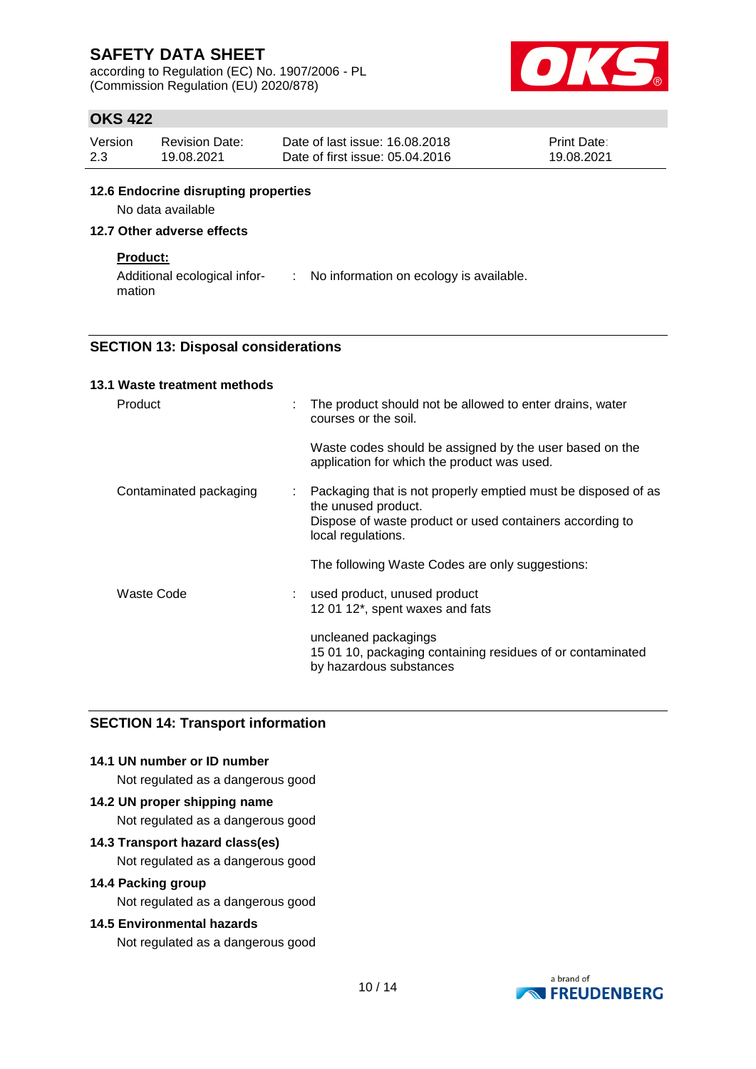according to Regulation (EC) No. 1907/2006 - PL (Commission Regulation (EU) 2020/878)



# **OKS 422**

| Version | <b>Revision Date:</b> | Date of last issue: 16,08,2018  | <b>Print Date:</b> |
|---------|-----------------------|---------------------------------|--------------------|
| 2.3     | 19.08.2021            | Date of first issue: 05.04.2016 | 19.08.2021         |

#### **12.6 Endocrine disrupting properties**

No data available

## **12.7 Other adverse effects**

## **Product:**

Additional ecological infor-: No information on ecology is available. mation

### **SECTION 13: Disposal considerations**

| 13.1 Waste treatment methods |   |                                                                                                                                                                        |
|------------------------------|---|------------------------------------------------------------------------------------------------------------------------------------------------------------------------|
| Product                      | ÷ | The product should not be allowed to enter drains, water<br>courses or the soil.                                                                                       |
|                              |   | Waste codes should be assigned by the user based on the<br>application for which the product was used.                                                                 |
| Contaminated packaging       | ÷ | Packaging that is not properly emptied must be disposed of as<br>the unused product.<br>Dispose of waste product or used containers according to<br>local regulations. |
|                              |   | The following Waste Codes are only suggestions:                                                                                                                        |
| Waste Code                   |   | used product, unused product<br>12 01 12*, spent waxes and fats                                                                                                        |
|                              |   | uncleaned packagings<br>15 01 10, packaging containing residues of or contaminated<br>by hazardous substances                                                          |

### **SECTION 14: Transport information**

### **14.1 UN number or ID number**

Not regulated as a dangerous good

### **14.2 UN proper shipping name**

Not regulated as a dangerous good

# **14.3 Transport hazard class(es)**

Not regulated as a dangerous good

### **14.4 Packing group**

Not regulated as a dangerous good

### **14.5 Environmental hazards**

Not regulated as a dangerous good

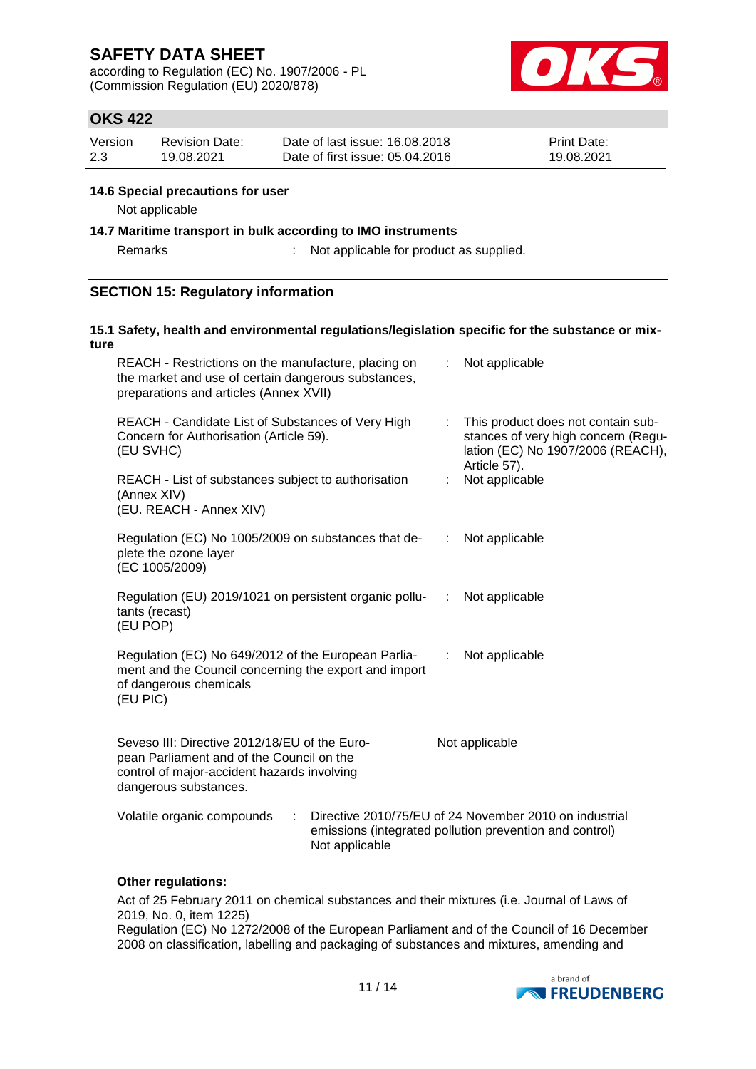according to Regulation (EC) No. 1907/2006 - PL (Commission Regulation (EU) 2020/878)



# **OKS 422**

| Version | <b>Revision Date:</b> | Date of last issue: 16.08.2018  | <b>Print Date:</b> |
|---------|-----------------------|---------------------------------|--------------------|
| 2.3     | 19.08.2021            | Date of first issue: 05.04.2016 | 19.08.2021         |

#### **14.6 Special precautions for user**

Not applicable

### **14.7 Maritime transport in bulk according to IMO instruments**

Remarks : Not applicable for product as supplied.

## **SECTION 15: Regulatory information**

#### **15.1 Safety, health and environmental regulations/legislation specific for the substance or mixture**

| REACH - Restrictions on the manufacture, placing on<br>the market and use of certain dangerous substances,<br>preparations and articles (Annex XVII)               |                |    | Not applicable                                                                                                                 |
|--------------------------------------------------------------------------------------------------------------------------------------------------------------------|----------------|----|--------------------------------------------------------------------------------------------------------------------------------|
| REACH - Candidate List of Substances of Very High<br>Concern for Authorisation (Article 59).<br>(EU SVHC)                                                          |                | ÷. | This product does not contain sub-<br>stances of very high concern (Regu-<br>lation (EC) No 1907/2006 (REACH),<br>Article 57). |
| REACH - List of substances subject to authorisation<br>(Annex XIV)<br>(EU. REACH - Annex XIV)                                                                      |                | ÷. | Not applicable                                                                                                                 |
| Regulation (EC) No 1005/2009 on substances that de-<br>plete the ozone layer<br>(EC 1005/2009)                                                                     |                |    | : Not applicable                                                                                                               |
| Regulation (EU) 2019/1021 on persistent organic pollu-<br>tants (recast)<br>(EU POP)                                                                               |                | ÷  | Not applicable                                                                                                                 |
| Regulation (EC) No 649/2012 of the European Parlia-<br>ment and the Council concerning the export and import<br>of dangerous chemicals<br>(EU PIC)                 |                | ÷. | Not applicable                                                                                                                 |
| Seveso III: Directive 2012/18/EU of the Euro-<br>pean Parliament and of the Council on the<br>control of major-accident hazards involving<br>dangerous substances. |                |    | Not applicable                                                                                                                 |
| Volatile organic compounds<br>÷                                                                                                                                    | Not applicable |    | Directive 2010/75/EU of 24 November 2010 on industrial<br>emissions (integrated pollution prevention and control)              |

#### **Other regulations:**

Act of 25 February 2011 on chemical substances and their mixtures (i.e. Journal of Laws of 2019, No. 0, item 1225)

Regulation (EC) No 1272/2008 of the European Parliament and of the Council of 16 December 2008 on classification, labelling and packaging of substances and mixtures, amending and

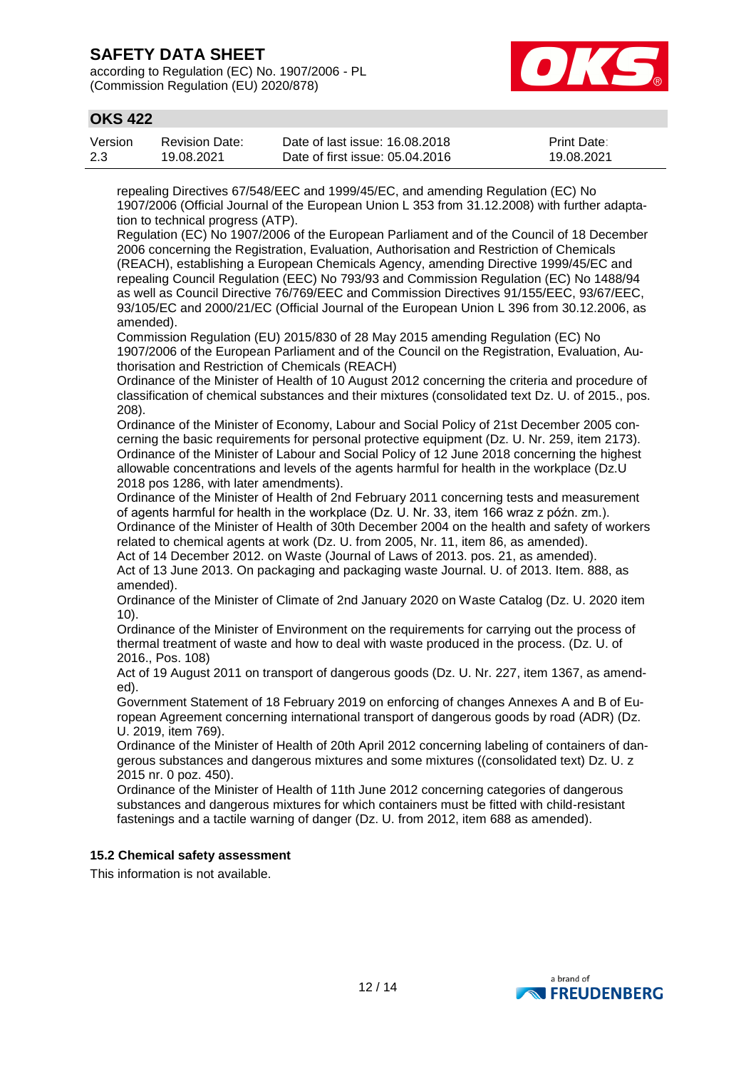according to Regulation (EC) No. 1907/2006 - PL (Commission Regulation (EU) 2020/878)



# **OKS 422**

| Version | <b>Revision Date:</b> | Date of last issue: 16,08,2018  | <b>Print Date:</b> |
|---------|-----------------------|---------------------------------|--------------------|
| 2.3     | 19.08.2021            | Date of first issue: 05.04.2016 | 19.08.2021         |

repealing Directives 67/548/EEC and 1999/45/EC, and amending Regulation (EC) No 1907/2006 (Official Journal of the European Union L 353 from 31.12.2008) with further adaptation to technical progress (ATP).

Regulation (EC) No 1907/2006 of the European Parliament and of the Council of 18 December 2006 concerning the Registration, Evaluation, Authorisation and Restriction of Chemicals (REACH), establishing a European Chemicals Agency, amending Directive 1999/45/EC and repealing Council Regulation (EEC) No 793/93 and Commission Regulation (EC) No 1488/94 as well as Council Directive 76/769/EEC and Commission Directives 91/155/EEC, 93/67/EEC, 93/105/EC and 2000/21/EC (Official Journal of the European Union L 396 from 30.12.2006, as amended).

Commission Regulation (EU) 2015/830 of 28 May 2015 amending Regulation (EC) No 1907/2006 of the European Parliament and of the Council on the Registration, Evaluation, Authorisation and Restriction of Chemicals (REACH)

Ordinance of the Minister of Health of 10 August 2012 concerning the criteria and procedure of classification of chemical substances and their mixtures (consolidated text Dz. U. of 2015., pos. 208).

Ordinance of the Minister of Economy, Labour and Social Policy of 21st December 2005 concerning the basic requirements for personal protective equipment (Dz. U. Nr. 259, item 2173). Ordinance of the Minister of Labour and Social Policy of 12 June 2018 concerning the highest allowable concentrations and levels of the agents harmful for health in the workplace (Dz.U 2018 pos 1286, with later amendments).

Ordinance of the Minister of Health of 2nd February 2011 concerning tests and measurement of agents harmful for health in the workplace (Dz. U. Nr. 33, item 166 wraz z późn. zm.). Ordinance of the Minister of Health of 30th December 2004 on the health and safety of workers

related to chemical agents at work (Dz. U. from 2005, Nr. 11, item 86, as amended). Act of 14 December 2012. on Waste (Journal of Laws of 2013. pos. 21, as amended).

Act of 13 June 2013. On packaging and packaging waste Journal. U. of 2013. Item. 888, as amended).

Ordinance of the Minister of Climate of 2nd January 2020 on Waste Catalog (Dz. U. 2020 item 10).

Ordinance of the Minister of Environment on the requirements for carrying out the process of thermal treatment of waste and how to deal with waste produced in the process. (Dz. U. of 2016., Pos. 108)

Act of 19 August 2011 on transport of dangerous goods (Dz. U. Nr. 227, item 1367, as amended).

Government Statement of 18 February 2019 on enforcing of changes Annexes A and B of European Agreement concerning international transport of dangerous goods by road (ADR) (Dz. U. 2019, item 769).

Ordinance of the Minister of Health of 20th April 2012 concerning labeling of containers of dangerous substances and dangerous mixtures and some mixtures ((consolidated text) Dz. U. z 2015 nr. 0 poz. 450).

Ordinance of the Minister of Health of 11th June 2012 concerning categories of dangerous substances and dangerous mixtures for which containers must be fitted with child-resistant fastenings and a tactile warning of danger (Dz. U. from 2012, item 688 as amended).

## **15.2 Chemical safety assessment**

This information is not available.

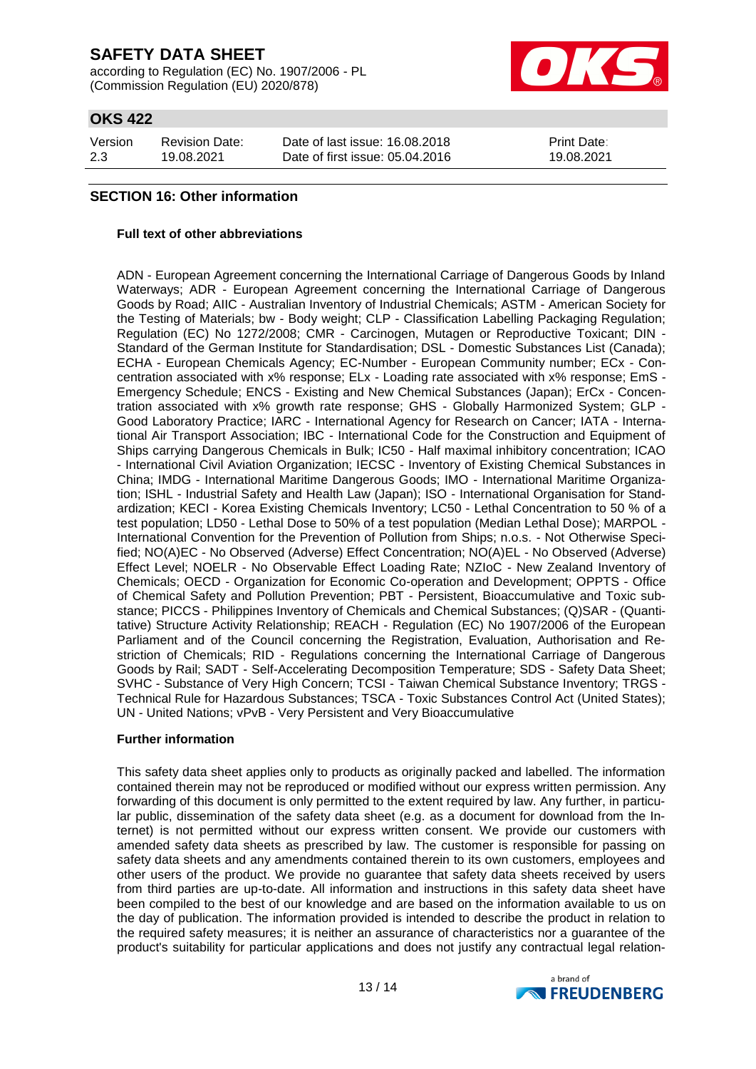according to Regulation (EC) No. 1907/2006 - PL (Commission Regulation (EU) 2020/878)



# **OKS 422**

| Version | <b>Revision Date:</b> | Date of last issue: 16.08.2018  | <b>Print Date:</b> |
|---------|-----------------------|---------------------------------|--------------------|
| 2.3     | 19.08.2021            | Date of first issue: 05.04.2016 | 19.08.2021         |

### **SECTION 16: Other information**

#### **Full text of other abbreviations**

ADN - European Agreement concerning the International Carriage of Dangerous Goods by Inland Waterways; ADR - European Agreement concerning the International Carriage of Dangerous Goods by Road; AIIC - Australian Inventory of Industrial Chemicals; ASTM - American Society for the Testing of Materials; bw - Body weight; CLP - Classification Labelling Packaging Regulation; Regulation (EC) No 1272/2008; CMR - Carcinogen, Mutagen or Reproductive Toxicant; DIN - Standard of the German Institute for Standardisation; DSL - Domestic Substances List (Canada); ECHA - European Chemicals Agency; EC-Number - European Community number; ECx - Concentration associated with x% response; ELx - Loading rate associated with x% response; EmS - Emergency Schedule; ENCS - Existing and New Chemical Substances (Japan); ErCx - Concentration associated with x% growth rate response; GHS - Globally Harmonized System; GLP - Good Laboratory Practice; IARC - International Agency for Research on Cancer; IATA - International Air Transport Association; IBC - International Code for the Construction and Equipment of Ships carrying Dangerous Chemicals in Bulk; IC50 - Half maximal inhibitory concentration; ICAO - International Civil Aviation Organization; IECSC - Inventory of Existing Chemical Substances in China; IMDG - International Maritime Dangerous Goods; IMO - International Maritime Organization; ISHL - Industrial Safety and Health Law (Japan); ISO - International Organisation for Standardization; KECI - Korea Existing Chemicals Inventory; LC50 - Lethal Concentration to 50 % of a test population; LD50 - Lethal Dose to 50% of a test population (Median Lethal Dose); MARPOL - International Convention for the Prevention of Pollution from Ships; n.o.s. - Not Otherwise Specified; NO(A)EC - No Observed (Adverse) Effect Concentration; NO(A)EL - No Observed (Adverse) Effect Level; NOELR - No Observable Effect Loading Rate; NZIoC - New Zealand Inventory of Chemicals; OECD - Organization for Economic Co-operation and Development; OPPTS - Office of Chemical Safety and Pollution Prevention; PBT - Persistent, Bioaccumulative and Toxic substance; PICCS - Philippines Inventory of Chemicals and Chemical Substances; (Q)SAR - (Quantitative) Structure Activity Relationship; REACH - Regulation (EC) No 1907/2006 of the European Parliament and of the Council concerning the Registration, Evaluation, Authorisation and Restriction of Chemicals; RID - Regulations concerning the International Carriage of Dangerous Goods by Rail; SADT - Self-Accelerating Decomposition Temperature; SDS - Safety Data Sheet; SVHC - Substance of Very High Concern; TCSI - Taiwan Chemical Substance Inventory; TRGS - Technical Rule for Hazardous Substances; TSCA - Toxic Substances Control Act (United States); UN - United Nations; vPvB - Very Persistent and Very Bioaccumulative

#### **Further information**

This safety data sheet applies only to products as originally packed and labelled. The information contained therein may not be reproduced or modified without our express written permission. Any forwarding of this document is only permitted to the extent required by law. Any further, in particular public, dissemination of the safety data sheet (e.g. as a document for download from the Internet) is not permitted without our express written consent. We provide our customers with amended safety data sheets as prescribed by law. The customer is responsible for passing on safety data sheets and any amendments contained therein to its own customers, employees and other users of the product. We provide no guarantee that safety data sheets received by users from third parties are up-to-date. All information and instructions in this safety data sheet have been compiled to the best of our knowledge and are based on the information available to us on the day of publication. The information provided is intended to describe the product in relation to the required safety measures; it is neither an assurance of characteristics nor a guarantee of the product's suitability for particular applications and does not justify any contractual legal relation-